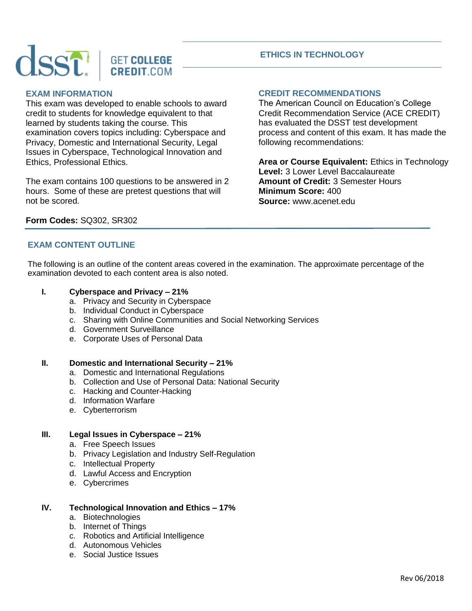# **GET COLLEGE CREDIT.COM**

# **EXAM INFORMATION**

This exam was developed to enable schools to award credit to students for knowledge equivalent to that learned by students taking the course. This examination covers topics including: Cyberspace and Privacy, Domestic and International Security, Legal Issues in Cyberspace, Technological Innovation and Ethics, Professional Ethics.

The exam contains 100 questions to be answered in 2 hours. Some of these are pretest questions that will not be scored.

# **ETHICS IN TECHNOLOGY**

# **CREDIT RECOMMENDATIONS**

The American Council on Education's College Credit Recommendation Service (ACE CREDIT) has evaluated the DSST test development process and content of this exam. It has made the following recommendations:

**Area or Course Equivalent:** Ethics in Technology **Level:** 3 Lower Level Baccalaureate **Amount of Credit:** 3 Semester Hours **Minimum Score:** 400 **Source:** www.acenet.edu

# **Form Codes:** SQ302, SR302

# **EXAM CONTENT OUTLINE**

The following is an outline of the content areas covered in the examination. The approximate percentage of the examination devoted to each content area is also noted.

# **I. Cyberspace and Privacy – 21%**

- a. Privacy and Security in Cyberspace
- b. Individual Conduct in Cyberspace
- c. Sharing with Online Communities and Social Networking Services
- d. Government Surveillance
- e. Corporate Uses of Personal Data

#### **II. Domestic and International Security – 21%**

- a. Domestic and International Regulations
- b. Collection and Use of Personal Data: National Security
- c. Hacking and Counter-Hacking
- d. Information Warfare
- e. Cyberterrorism

# **III. Legal Issues in Cyberspace – 21%**

- a. Free Speech Issues
- b. Privacy Legislation and Industry Self-Regulation
- c. Intellectual Property
- d. Lawful Access and Encryption
- e. Cybercrimes

#### **IV. Technological Innovation and Ethics – 17%**

- a. Biotechnologies
- b. Internet of Things
- c. Robotics and Artificial Intelligence
- d. Autonomous Vehicles
- e. Social Justice Issues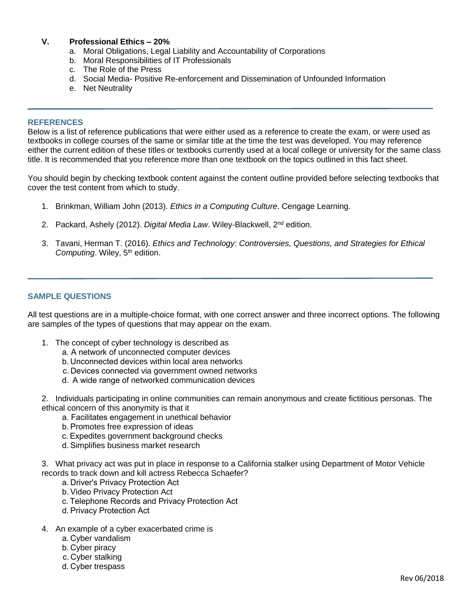### **V. Professional Ethics – 20%**

- a. Moral Obligations, Legal Liability and Accountability of Corporations
- b. Moral Responsibilities of IT Professionals
- c. The Role of the Press
- d. Social Media- Positive Re-enforcement and Dissemination of Unfounded Information
- e. Net Neutrality

#### **REFERENCES**

Below is a list of reference publications that were either used as a reference to create the exam, or were used as textbooks in college courses of the same or similar title at the time the test was developed. You may reference either the current edition of these titles or textbooks currently used at a local college or university for the same class title. It is recommended that you reference more than one textbook on the topics outlined in this fact sheet.

You should begin by checking textbook content against the content outline provided before selecting textbooks that cover the test content from which to study.

- 1. Brinkman, William John (2013). *Ethics in a Computing Culture*. Cengage Learning.
- 2. Packard, Ashely (2012). *Digital Media Law*. Wiley-Blackwell, 2nd edition.
- 3. Tavani, Herman T. (2016). *Ethics and Technology: Controversies, Questions, and Strategies for Ethical Computing*. Wiley, 5<sup>th</sup> edition.

#### **SAMPLE QUESTIONS**

All test questions are in a multiple-choice format, with one correct answer and three incorrect options. The following are samples of the types of questions that may appear on the exam.

- 1. The concept of cyber technology is described as
	- a. A network of unconnected computer devices
	- b. Unconnected devices within local area networks
	- c. Devices connected via government owned networks
	- d.  A wide range of networked communication devices

2. Individuals participating in online communities can remain anonymous and create fictitious personas. The ethical concern of this anonymity is that it

- a. Facilitates engagement in unethical behavior
- b. Promotes free expression of ideas
- c. Expedites government background checks
- d. Simplifies business market research

3. What privacy act was put in place in response to a California stalker using Department of Motor Vehicle records to track down and kill actress Rebecca Schaefer?

- a. Driver's Privacy Protection Act
- b. Video Privacy Protection Act
- c. Telephone Records and Privacy Protection Act
- d. Privacy Protection Act
- 4. An example of a cyber exacerbated crime is
	- a. Cyber vandalism
	- b. Cyber piracy
	- c. Cyber stalking
	- d. Cyber trespass